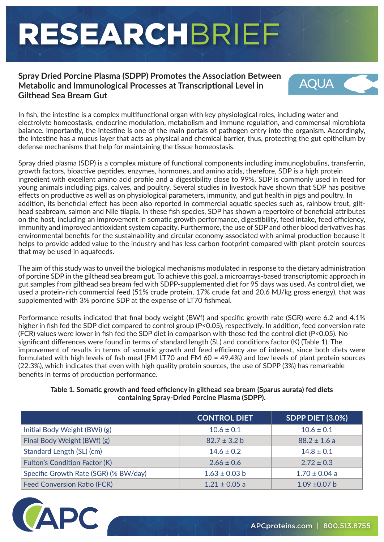# RESEARCHBRIEF

#### **Spray Dried Porcine Plasma (SDPP) Promotes the Association Between Metabolic and Immunological Processes at Transcriptional Level in Gilthead Sea Bream Gut**



In fish, the intestine is a complex multifunctional organ with key physiological roles, including water and electrolyte homeostasis, endocrine modulation, metabolism and immune regulation, and commensal microbiota balance. Importantly, the intestine is one of the main portals of pathogen entry into the organism. Accordingly, the intestine has a mucus layer that acts as physical and chemical barrier, thus, protecting the gut epithelium by defense mechanisms that help for maintaining the tissue homeostasis.

Spray dried plasma (SDP) is a complex mixture of functional components including immunoglobulins, transferrin, growth factors, bioactive peptides, enzymes, hormones, and amino acids, therefore, SDP is a high protein ingredient with excellent amino acid profile and a digestibility close to 99%. SDP is commonly used in feed for young animals including pigs, calves, and poultry. Several studies in livestock have shown that SDP has positive effects on productive as well as on physiological parameters, immunity, and gut health in pigs and poultry. In addition, its beneficial effect has been also reported in commercial aquatic species such as, rainbow trout, gilthead seabream, salmon and Nile tilapia. In these fish species, SDP has shown a repertoire of beneficial attributes on the host, including an improvement in somatic growth performance, digestibility, feed intake, feed efficiency, immunity and improved antioxidant system capacity. Furthermore, the use of SDP and other blood derivatives has environmental benefits for the sustainability and circular economy associated with animal production because it helps to provide added value to the industry and has less carbon footprint compared with plant protein sources that may be used in aquafeeds.

The aim of this study was to unveil the biological mechanisms modulated in response to the dietary administration of porcine SDP in the gilthead sea bream gut. To achieve this goal, a microarrays-based transcriptomic approach in gut samples from gilthead sea bream fed with SDPP-supplemented diet for 95 days was used. As control diet, we used a protein-rich commercial feed (51% crude protein, 17% crude fat and 20.6 MJ/kg gross energy), that was supplemented with 3% porcine SDP at the expense of LT70 fishmeal.

Performance results indicated that final body weight (BWf) and specific growth rate (SGR) were 6.2 and 4.1% higher in fish fed the SDP diet compared to control group (P<0.05), respectively. In addition, feed conversion rate (FCR) values were lower in fish fed the SDP diet in comparison with those fed the control diet (P<0.05). No significant differences were found in terms of standard length (SL) and conditions factor (K) (Table 1). The improvement of results in terms of somatic growth and feed efficiency are of interest, since both diets were formulated with high levels of fish meal (FM LT70 and FM 60 = 49.4%) and low levels of plant protein sources (22.3%), which indicates that even with high quality protein sources, the use of SDPP (3%) has remarkable benefits in terms of production performance.

**Table 1. Somatic growth and feed efficiency in gilthead sea bream (Sparus aurata) fed diets containing Spray-Dried Porcine Plasma (SDPP).**

|                                       | <b>CONTROL DIET</b> | <b>SDPP DIET (3.0%)</b> |
|---------------------------------------|---------------------|-------------------------|
| Initial Body Weight (BWi) (g)         | $10.6 \pm 0.1$      | $10.6 \pm 0.1$          |
| Final Body Weight (BWf) (g)           | $82.7 \pm 3.2 b$    | $88.2 \pm 1.6$ a        |
| Standard Length (SL) (cm)             | $14.6 \pm 0.2$      | $14.8 \pm 0.1$          |
| <b>Fulton's Condition Factor (K)</b>  | $2.66 \pm 0.6$      | $2.72 \pm 0.3$          |
| Specific Growth Rate (SGR) (% BW/day) | $1.63 \pm 0.03$ b   | $1.70 \pm 0.04$ a       |
| <b>Feed Conversion Ratio (FCR)</b>    | $1.21 \pm 0.05$ a   | $1.09 \pm 0.07$ b       |

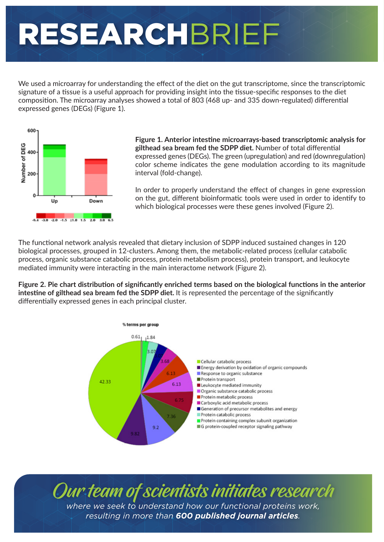## RESEARCHBRIEF

We used a microarray for understanding the effect of the diet on the gut transcriptome, since the transcriptomic signature of a tissue is a useful approach for providing insight into the tissue-specific responses to the diet composition. The microarray analyses showed a total of 803 (468 up- and 335 down-regulated) differential expressed genes (DEGs) (Figure 1).



**Figure 1. Anterior intestine microarrays-based transcriptomic analysis for gilthead sea bream fed the SDPP diet.** Number of total differential expressed genes (DEGs). The green (upregulation) and red (downregulation) color scheme indicates the gene modulation according to its magnitude interval (fold-change).

In order to properly understand the effect of changes in gene expression on the gut, different bioinformatic tools were used in order to identify to which biological processes were these genes involved (Figure 2).

The functional network analysis revealed that dietary inclusion of SDPP induced sustained changes in 120 biological processes, grouped in 12-clusters. Among them, the metabolic-related process (cellular catabolic process, organic substance catabolic process, protein metabolism process), protein transport, and leukocyte mediated immunity were interacting in the main interactome network (Figure 2).

**Figure 2. Pie chart distribution of significantly enriched terms based on the biological functions in the anterior intestine of gilthead sea bream fed the SDPP diet.** It is represented the percentage of the significantly differentially expressed genes in each principal cluster.



Our team of scientists initiates research *where we seek to understand how our functional proteins work, resulting in more than 600 published journal articles.*